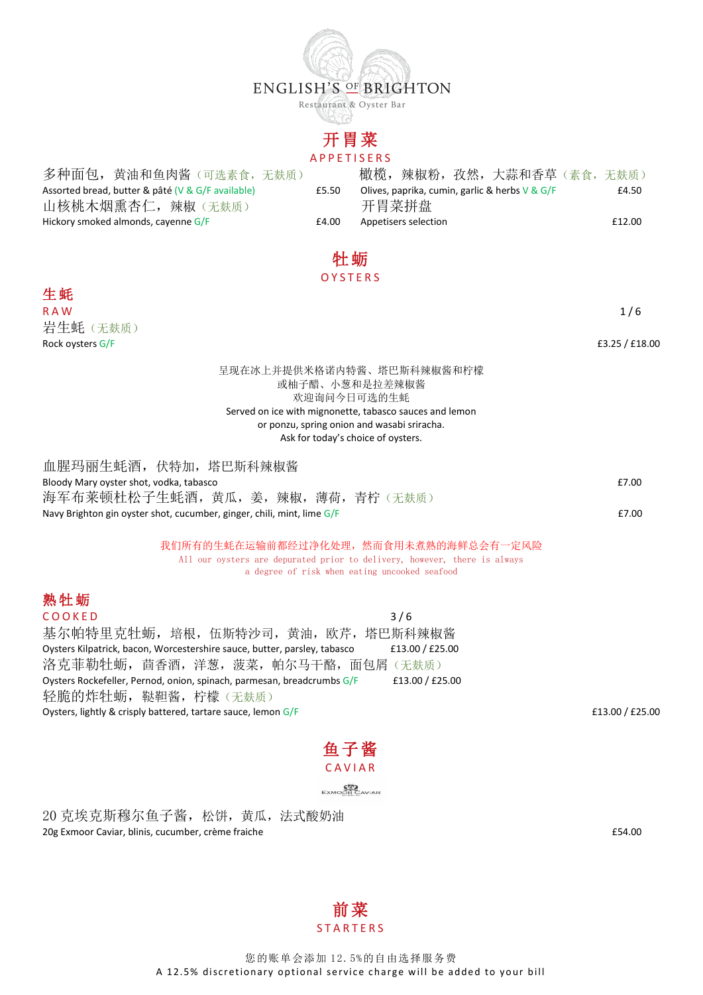

Restaurant & Oyster Bar

# 开胃菜

#### A P P E T I S E R S

多种面包, 黄油和鱼肉酱(可选素食,无麸质) Assorted bread, butter & pâté (V & G/F available) 山核桃木烟熏杏仁, 辣椒(无麸质) Hickory smoked almonds, cayenne G/F <br>
E4.00 Appetisers selection E

|       |                      | 橄榄,辣椒粉,孜然,大蒜和香草(素食,无麸质)                           |        |
|-------|----------------------|---------------------------------------------------|--------|
| £5.50 |                      | Olives, paprika, cumin, garlic & herbs $V \& G/F$ | £4.50  |
|       | 开胃菜拼盘                |                                                   |        |
| £4.00 | Annetisers selection |                                                   | £12.00 |

# 牡蛎

#### **OYSTERS**

生蚝 R A W  $1/6$ 岩生蚝(无麸质) Rock oysters  $G/F$   $E3.25 / f18.00$ 

呈现在冰上并提供米格诺内特酱、塔巴斯科辣椒酱和柠檬 或柚子醋、小葱和是拉差辣椒酱 欢迎询问今日可选的生蚝 Served on ice with mignonette, tabasco sauces and lemon or ponzu, spring onion and wasabi sriracha. Ask for today's choice of oysters.

| 血腥玛丽生蚝酒, 伏特加, 塔巴斯科辣椒酱                                                    |                                 |       |
|--------------------------------------------------------------------------|---------------------------------|-------|
| Bloody Mary oyster shot, vodka, tabasco                                  |                                 | £7.00 |
|                                                                          | 海军布莱顿杜松子生蚝酒,黄瓜,姜,辣椒,薄荷,青柠 (无麸质) |       |
| Navy Brighton gin oyster shot, cucumber, ginger, chili, mint, lime $G/F$ |                                 | £7.00 |

我们所有的生蚝在运输前都经过净化处理,然而食用未煮熟的海鲜总会有一定风险 All our oysters are depurated prior to delivery, however, there is always a degree of risk when eating uncooked seafood

## 熟牡蛎

 $CO O K E D$  3/6 基尔帕特里克牡蛎, 培根, 伍斯特沙司, 黄油, 欧芹, 塔巴斯科辣椒酱 Oysters Kilpatrick, bacon, Worcestershire sauce, butter, parsley, tabasco £13.00 / £25.00 洛克菲勒牡蛎, 茴香酒, 洋葱, 菠菜, 帕尔马干酪, 面包屑(无麸质) Oysters Rockefeller, Pernod, onion, spinach, parmesan, breadcrumbs G/F £13.00 / £25.00 轻脆的炸牡蛎, 鞑靼酱, 柠檬(无麸质) Oysters, lightly & crisply battered, tartare sauce, lemon G/F **2008 E13.00** / £25.00



20 克埃克斯穆尔鱼子酱,松饼,黄瓜,法式酸奶油 20g Exmoor Caviar, blinis, cucumber, crème fraiche £54.00

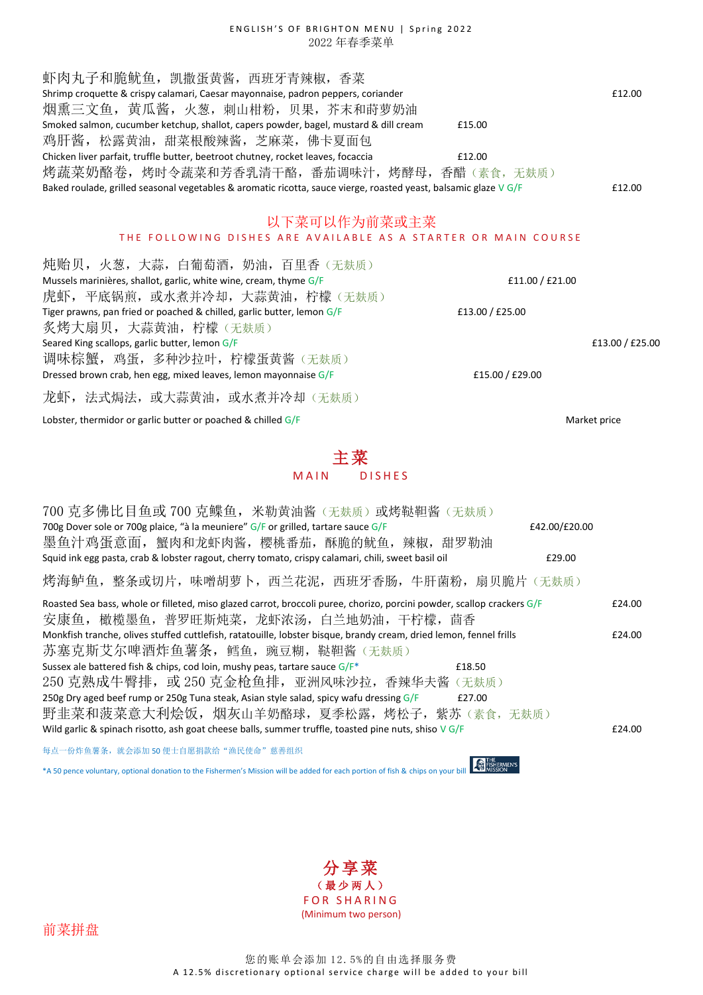#### ENGLISH'S OF BRIGHTON MENU | Spring 2022 2022 年春季菜单

虾肉丸子和脆鱿鱼, 凯撒蛋黄酱, 西班牙青辣椒, 香菜 Shrimp croquette & crispy calamari, Caesar mayonnaise, padron peppers, coriander **EXACO EXACO ELECTED** 612.00 烟熏三文鱼,黄瓜酱,火葱,刺山柑粉,贝果,芥末和莳萝奶油 Smoked salmon, cucumber ketchup, shallot, capers powder, bagel, mustard & dill cream  $£15.00$ 鸡肝酱, 松露黄油, 甜菜根酸辣酱, 芝麻菜, 佛卡夏面包 Chicken liver parfait, truffle butter, beetroot chutney, rocket leaves, focaccia £12.00 烤蔬菜奶酪卷,烤时令蔬菜和芳香乳清干酪,番茄调味汁,烤酵母,香醋(素食,无麸质) Baked roulade, grilled seasonal vegetables & aromatic ricotta, sauce vierge, roasted yeast, balsamic glaze  $\sqrt{G/F}$   $\qquad 2.00$ 

## 以下菜可以作为前菜或主菜

#### THE FOLLOWING DISHES ARE AVAILABLE AS A STARTER OR MAIN COURSE

炖贻贝,火葱,大蒜,白葡萄酒,奶油,百里香 (无麸质) Mussels marinières, shallot, garlic, white wine, cream, thyme  $G/F$   $\qquad \qquad$   $\qquad \qquad$   $\qquad \qquad$   $\qquad 21.00 / f21.00$ 虎虾,平底锅煎,或水煮并冷却,大蒜黄油,柠檬(无麸质) Tiger prawns, pan fried or poached & chilled, garlic butter, lemon G/F  $\qquad 25.00$  £13.00  $\neq$  £25.00 炙烤大扇贝,大蒜黄油,柠檬(无麸质) Seared King scallops, garlic butter, lemon G/F **E13.00** / E25.00 调味棕蟹,鸡蛋,多种沙拉叶,柠檬蛋黄酱(无麸质) Dressed brown crab, hen egg, mixed leaves, lemon mayonnaise  $G/F$   $E15.00 / E29.00$ 龙虾, 法式焗法, 或大蒜黄油, 或水煮并冷却(无麸质)

Lobster, thermidor or garlic butter or poached & chilled G/F Market price expansion of the Market price

主菜

M A IN DISHES

| 700 克多佛比目鱼或 700 克鲽鱼, 米勒黄油酱 (无麸质) 或烤鞑靼酱 (无麸质)                                                                           |        |  |  |  |
|------------------------------------------------------------------------------------------------------------------------|--------|--|--|--|
| 700g Dover sole or 700g plaice, "à la meuniere" G/F or grilled, tartare sauce G/F<br>£42.00/£20.00                     |        |  |  |  |
| 墨鱼汁鸡蛋意面, 蟹肉和龙虾肉酱, 樱桃番茄, 酥脆的鱿鱼, 辣椒, 甜罗勒油                                                                                |        |  |  |  |
| Squid ink egg pasta, crab & lobster ragout, cherry tomato, crispy calamari, chili, sweet basil oil<br>£29.00           |        |  |  |  |
| 烤海鲈鱼,整条或切片,味噌胡萝卜,西兰花泥,西班牙香肠,牛肝菌粉,扇贝脆片 (无麸质)                                                                            |        |  |  |  |
| Roasted Sea bass, whole or filleted, miso glazed carrot, broccoli puree, chorizo, porcini powder, scallop crackers G/F | £24.00 |  |  |  |
| 安康鱼,橄榄墨鱼,普罗旺斯炖菜,龙虾浓汤,白兰地奶油,干柠檬,茴香                                                                                      |        |  |  |  |
| Monkfish tranche, olives stuffed cuttlefish, ratatouille, lobster bisque, brandy cream, dried lemon, fennel frills     |        |  |  |  |
| 苏塞克斯艾尔啤酒炸鱼薯条,鳕鱼,豌豆糊,鞑靼酱 (无麸质)                                                                                          |        |  |  |  |
| Sussex ale battered fish & chips, cod loin, mushy peas, tartare sauce G/F*<br>£18.50                                   |        |  |  |  |
| 250 克熟成牛臀排,或 250 克金枪鱼排,亚洲风味沙拉,香辣华夫酱 (无麸质)                                                                              |        |  |  |  |
| 250g Dry aged beef rump or 250g Tuna steak, Asian style salad, spicy wafu dressing G/F<br>£27.00                       |        |  |  |  |
| 野韭菜和菠菜意大利烩饭,烟灰山羊奶酪球,夏季松露,烤松子,紫苏(素食,无麸质)                                                                                |        |  |  |  |
| Wild garlic & spinach risotto, ash goat cheese balls, summer truffle, toasted pine nuts, shiso $V$ G/F                 | £24.00 |  |  |  |
| 每点一份炸鱼薯条,就会添加 50 便士自愿捐款给"渔民使命"慈善组织                                                                                     |        |  |  |  |

\*A 50 pence voluntary, optional donation to the Fishermen's Mission will be added for each portion of fish & chips on your bill

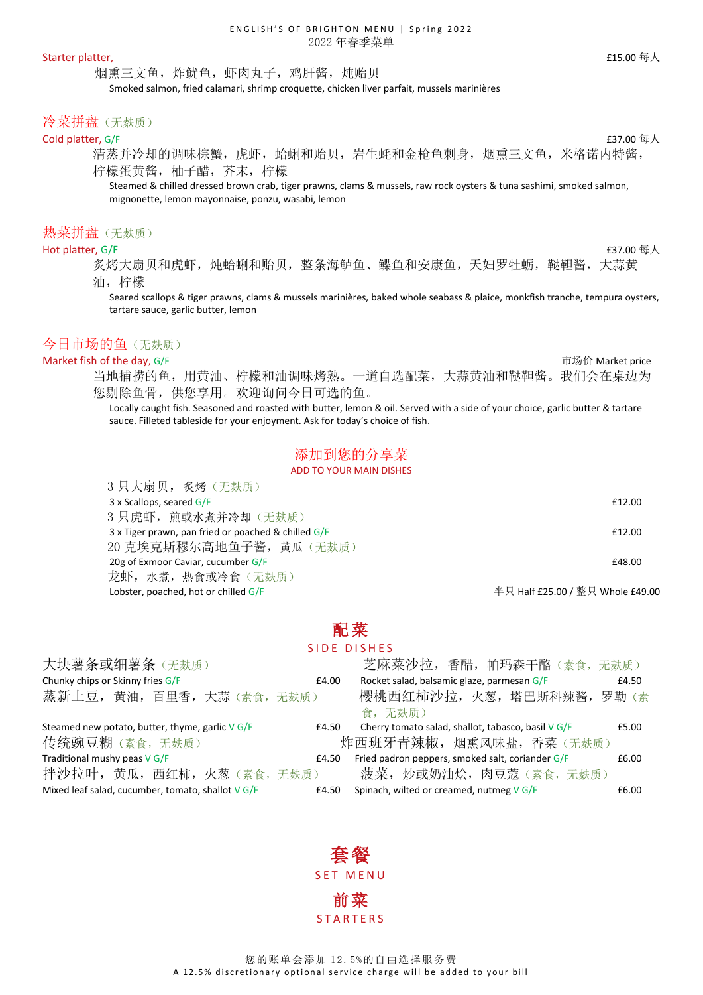#### Starter platter, the control of the control of the control of the control of the control of the control of the control of  $\Lambda$

烟熏三文鱼,炸鱿鱼,虾肉丸子,鸡肝酱,炖贻贝

Smoked salmon, fried calamari, shrimp croquette, chicken liver parfait, mussels marinières

## 冷菜拼盘(无麸质)

## $\blacksquare$ Cold platter, G/F  $\blacksquare$

清蒸并冷却的调味棕蟹,虎虾,蛤蜊和贻贝,岩生蚝和金枪鱼刺身,烟熏三文鱼,米格诺内特酱, 柠檬蛋黄酱,柚子醋,芥末,柠檬

Steamed & chilled dressed brown crab, tiger prawns, clams & mussels, raw rock oysters & tuna sashimi, smoked salmon, mignonette, lemon mayonnaise, ponzu, wasabi, lemon

## 热菜拼盘(无麸质)

#### Hot platter, G/F  $\epsilon$ 37.00 每人

炙烤大扇贝和虎虾,炖蛤蜊和贻贝,整条海鲈鱼、鲽鱼和安康鱼,天妇罗牡蛎,鞑靼酱,大蒜黄 油,柠檬

Seared scallops & tiger prawns, clams & mussels marinières, baked whole seabass & plaice, monkfish tranche, tempura oysters, tartare sauce, garlic butter, lemon

## 今日市场的鱼(无麸质)

9 日十百団 友展 / 工卦氏)

Market fish of the day, G/F  $\overline{0}$  of the day, G/F  $\overline{0}$  of  $\overline{0}$  and  $\overline{0}$  and  $\overline{0}$   $\overline{0}$   $\overline{0}$   $\overline{0}$   $\overline{0}$   $\overline{0}$   $\overline{0}$   $\overline{0}$   $\overline{0}$   $\overline{0}$   $\overline{0}$   $\overline{0}$   $\overline{0}$   $\overline{0}$   $\overline$ 当地捕捞的鱼,用黄油、柠檬和油调味烤熟。一道自选配菜,大蒜黄油和鞑靼酱。我们会在桌边为 您剔除鱼骨,供您享用。欢迎询问今日可选的鱼。

> Locally caught fish. Seasoned and roasted with butter, lemon & oil. Served with a side of your choice, garlic butter & tartare sauce. Filleted tableside for your enjoyment. Ask for today's choice of fish.

## 添加到您的分享菜

ADD TO YOUR MAIN DISHES

| $3 \times$ Scallops, seared $G/F$                   | £12.00                           |
|-----------------------------------------------------|----------------------------------|
| 3 只虎虾, 煎或水煮并冷却 (无麸质)                                |                                  |
| 3 x Tiger prawn, pan fried or poached & chilled G/F | £12.00                           |
| 20 克埃克斯穆尔高地鱼子酱,黄瓜(无麸质)                              |                                  |
| 20g of Exmoor Caviar, cucumber G/F                  | £48.00                           |
| 龙虾, 水煮, 热食或冷食 (无麸质)                                 |                                  |
| Lobster, poached, hot or chilled G/F                | 半只 Half £25.00 / 整只 Whole £49.00 |
|                                                     |                                  |

## 配菜

#### SIDE DISHES

| 大块薯条或细薯条(无麸质)                                            |       | 芝麻菜沙拉, 香醋, 帕玛森干酪(素食, 无麸质)                                   |  |
|----------------------------------------------------------|-------|-------------------------------------------------------------|--|
| Chunky chips or Skinny fries G/F                         |       | Rocket salad, balsamic glaze, parmesan G/F<br>£4.50         |  |
| 蒸新土豆, 黄油, 百里香, 大蒜(素食, 无麸质)                               |       | 樱桃西红柿沙拉, 火葱, 塔巴斯科辣酱, 罗勒(素                                   |  |
|                                                          |       | 食,无麸质)                                                      |  |
| Steamed new potato, butter, thyme, garlic V G/F<br>£4.50 |       | Cherry tomato salad, shallot, tabasco, basil V G/F<br>£5.00 |  |
| 传统豌豆糊 (素食,无麸质)                                           |       | 炸西班牙青辣椒, 烟熏风味盐, 香菜(无麸质)                                     |  |
| Traditional mushy peas V G/F                             | £4.50 | Fried padron peppers, smoked salt, coriander G/F<br>£6.00   |  |
| 拌沙拉叶, 黄瓜, 西红柿, 火葱 (素食, 无麸质)                              |       | 菠菜, 炒或奶油烩, 肉豆蔻 (素食, 无麸质)                                    |  |
| Mixed leaf salad, cucumber, tomato, shallot $\sqrt{G/F}$ | £4.50 | Spinach, wilted or creamed, nutmeg V G/F<br>£6.00           |  |

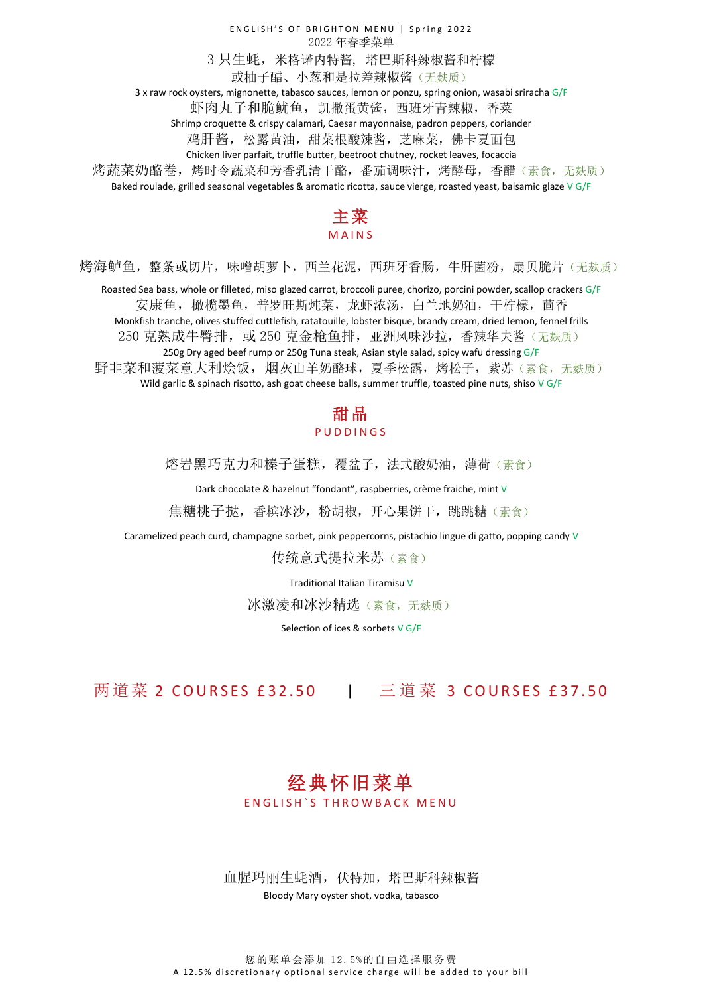ENGLISH'S OF BRIGHTON MENU | Spring 2022 2022 年春季菜单 3 只生蚝,米格诺内特酱, 塔巴斯科辣椒酱和柠檬 或柚子醋、小葱和是拉差辣椒酱(无麸质) 3 x raw rock oysters, mignonette, tabasco sauces, lemon or ponzu, spring onion, wasabi sriracha G/F 虾肉丸子和脆鱿鱼,凯撒蛋黄酱,西班牙青辣椒,香菜 Shrimp croquette & crispy calamari, Caesar mayonnaise, padron peppers, coriander 鸡肝酱, 松露黄油,甜菜根酸辣酱,芝麻菜,佛卡夏面包 Chicken liver parfait, truffle butter, beetroot chutney, rocket leaves, focaccia 烤蔬菜奶酪卷,烤烤中令蔬菜和芳香乳清干酪,番茄调味汁,烤酵母,香醋(素食,无麸质) Baked roulade, grilled seasonal vegetables & aromatic ricotta, sauce vierge, roasted yeast, balsamic glaze V G/F

## 主菜 M A I N S

烤海鲈鱼,整条或切片,味噌胡萝卜,西兰花泥,西班牙香肠,牛肝菌粉,扇贝脆片(无麸质)

Roasted Sea bass, whole or filleted, miso glazed carrot, broccoli puree, chorizo, porcini powder, scallop crackers G/F 安康鱼,橄榄墨鱼,普罗旺斯炖菜,龙虾浓汤,白兰地奶油,干柠檬,茴香 Monkfish tranche, olives stuffed cuttlefish, ratatouille, lobster bisque, brandy cream, dried lemon, fennel frills 250 克熟成牛臀排, 或 250 克金枪鱼排, 亚洲风味沙拉, 香辣华夫酱(无麸质) 250g Dry aged beef rump or 250g Tuna steak, Asian style salad, spicy wafu dressing G/F

野韭菜和菠菜意大利烩饭,烟灰山羊奶酪球,夏季松露,烤松子,紫苏(素食,无麸质) Wild garlic & spinach risotto, ash goat cheese balls, summer truffle, toasted pine nuts, shiso  $\sqrt{G/F}$ 

## 甜品 **P U D D I N G S**

熔岩黑巧克力和榛子蛋糕,覆盆子,法式酸奶油,薄荷(素食)

Dark chocolate & hazelnut "fondant", raspberries, crème fraiche, mint V

焦糖桃子挞,香槟冰沙,粉胡椒,开心果饼干,跳跳糖(素食)

Caramelized peach curd, champagne sorbet, pink peppercorns, pistachio lingue di gatto, popping candy V

传统意式提拉米苏 (素食)

Traditional Italian Tiramisu V

冰激凌和冰沙精选(素食,无麸质)

Selection of ices & sorbets V G/F

两道菜 2 COURSES £32.50 | 三道菜 3 COURSES £37.50

## 经典怀旧菜单

ENGLISH'S THROWBACK MENU

血腥玛丽生蚝酒,伏特加,塔巴斯科辣椒酱 Bloody Mary oyster shot, vodka, tabasco